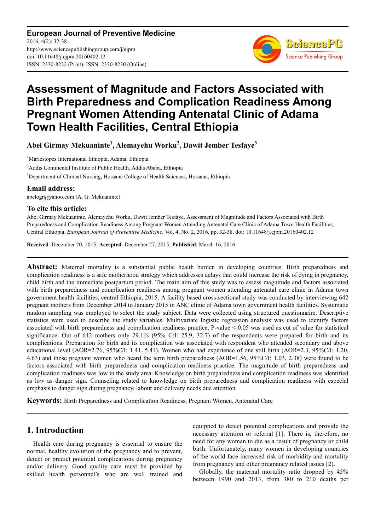**European Journal of Preventive Medicine** 2016; 4(2): 32-38 http://www.sciencepublishinggroup.com/j/ejpm doi: 10.11648/j.ejpm.20160402.12 ISSN: 2330-8222 (Print); ISSN: 2330-8230 (Online)



# **Assessment of Magnitude and Factors Associated with Birth Preparedness and Complication Readiness Among Pregnant Women Attending Antenatal Clinic of Adama Town Health Facilities, Central Ethiopia**

**Abel Girmay Mekuaninte<sup>1</sup> , Alemayehu Worku<sup>2</sup> , Dawit Jember Tesfaye<sup>3</sup>**

<sup>1</sup>Mariestopes International Ethiopia, Adama, Ethiopia <sup>2</sup>Addis Continental Institute of Public Health, Addis Ababa, Ethiopia <sup>3</sup>Department of Clinical Nursing, Hossana College of Health Sciences, Hossana, Ethiopia

### **Email address:**

abelogr@yahoo.com (A. G. Mekuaninte)

#### **To cite this article:**

Abel Girmay Mekuaninte, Alemayehu Worku, Dawit Jember Tesfaye. Assessment of Magnitude and Factors Associated with Birth Preparedness and Complication Readiness Among Pregnant Women Attending Antenatal Care Clinic of Adama Town Health Facilities, Central Ethiopia. *European Journal of Preventive Medicine*. Vol. 4, No. 2, 2016, pp. 32-38. doi: 10.11648/j.ejpm.20160402.12

**Received**: December 20, 2015; **Accepted**: December 27, 2015; **Published**: March 16, 2016

**Abstract:** Maternal mortality is a substantial public health burden in developing countries. Birth preparedness and complication readiness is a safe motherhood strategy which addresses delays that could increase the risk of dying in pregnancy, child birth and the immediate postpartum period. The main aim of this study was to assess magnitude and factors associated with birth preparedness and complication readiness among pregnant women attending antenatal care clinic in Adama town government health facilities, central Ethiopia, 2015. A facility based cross-sectional study was conducted by interviewing 642 pregnant mothers from December 2014 to January 2015 in ANC clinic of Adama town government health facilities. Systematic random sampling was employed to select the study subject. Data were collected using structured questionnaire. Descriptive statistics were used to describe the study variables. Multivariate logistic regression analysis was used to identify factors associated with birth preparedness and complication readiness practice. P-value < 0.05 was used as cut of value for statistical significance. Out of 642 mothers only 29.1% (95% C/I: 25.9, 32.7) of the respondents were prepared for birth and its complications. Preparation for birth and its complication was associated with respondent who attended secondary and above educational level (AOR=2.76, 95%C/I: 1.41, 5.41). Women who had experience of one still birth (AOR=2.3, 95%C/I: 1.20, 4.63) and those pregnant women who heard the term birth preparedness (AOR=1.56, 95%C/I: 1.03, 2.38) were found to be factors associated with birth preparedness and complication readiness practice. The magnitude of birth preparedness and complication readiness was low in the study area. Knowledge on birth preparedness and complication readiness was identified as low as danger sign. Counseling related to knowledge on birth preparedness and complication readiness with especial emphasis to danger sign during pregnancy, labour and delivery needs due attention.

**Keywords:** Birth Preparedness and Complication Readiness, Pregnant Women, Antenatal Care

## **1. Introduction**

Health care during pregnancy is essential to ensure the normal, healthy evolution of the pregnancy and to prevent, detect or predict potential complications during pregnancy and/or delivery. Good quality care must be provided by skilled health personnel's who are well trained and equipped to detect potential complications and provide the necessary attention or referral [1]. There is, therefore, no need for any woman to die as a result of pregnancy or child birth. Unfortunately, many women in developing countries of the world face increased risk of morbidity and mortality from pregnancy and other pregnancy related issues [2].

Globally, the maternal mortality ratio dropped by 45% between 1990 and 2013, from 380 to 210 deaths per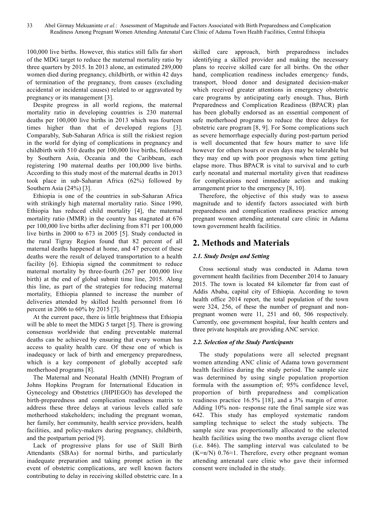100,000 live births. However, this statics still falls far short of the MDG target to reduce the maternal mortality ratio by three quarters by 2015. In 2013 alone, an estimated 289,000 women died during pregnancy, childbirth, or within 42 days of termination of the pregnancy, from causes (excluding accidental or incidental causes) related to or aggravated by pregnancy or its management [3].

Despite progress in all world regions, the maternal mortality ratio in developing countries is 230 maternal deaths per 100,000 live births in 2013 which was fourteen times higher than that of developed regions [3]. Comparably, Sub-Saharan Africa is still the riskiest region in the world for dying of complications in pregnancy and childbirth with 510 deaths per 100,000 live births, followed by Southern Asia, Oceania and the Caribbean, each registering 190 maternal deaths per 100,000 live births. According to this study most of the maternal deaths in 2013 took place in sub-Saharan Africa (62%) followed by Southern Asia (24%) [3].

Ethiopia is one of the countries in sub-Saharan Africa with strikingly high maternal mortality ratio. Since 1990, Ethiopia has reduced child mortality [4], the maternal mortality ratio (MMR) in the country has stagnated at 676 per 100,000 live births after declining from 871 per 100,000 live births in 2000 to 673 in 2005 [5]. Study conducted in the rural Tigray Region found that 82 percent of all maternal deaths happened at home, and 47 percent of these deaths were the result of delayed transportation to a health facility [6]. Ethiopia signed the commitment to reduce maternal mortality by three-fourth (267 per 100,000 live birth) at the end of global submit time line, 2015. Along this line, as part of the strategies for reducing maternal mortality, Ethiopia planned to increase the number of deliveries attended by skilled health personnel from 16 percent in 2006 to 60% by 2015 [7].

At the current pace, there is little brightness that Ethiopia will be able to meet the MDG 5 target [5]. There is growing consensus worldwide that ending preventable maternal deaths can be achieved by ensuring that every woman has access to quality health care. Of these one of which is inadequacy or lack of birth and emergency preparedness, which is a key component of globally accepted safe motherhood programs [8].

The Maternal and Neonatal Health (MNH) Program of Johns Hopkins Program for International Education in Gynecology and Obstetrics (JHPIEGO) has developed the birth-preparedness and complication readiness matrix to address these three delays at various levels called safe motherhood stakeholders; including the pregnant woman, her family, her community, health service providers, health facilities, and policy-makers during pregnancy, childbirth, and the postpartum period [9].

Lack of progressive plans for use of Skill Birth Attendants (SBAs) for normal births, and particularly inadequate preparation and taking prompt action in the event of obstetric complications, are well known factors contributing to delay in receiving skilled obstetric care. In a skilled care approach, birth preparedness includes identifying a skilled provider and making the necessary plans to receive skilled care for all births. On the other hand, complication readiness includes emergenc*y* funds, transport, blood donor and designated decision-maker which received greater attentions in emergency obstetric care programs by anticipating early enough. Thus, Birth Preparedness and Complication Readiness (BPACR) plan has been globally endorsed as an essential component of safe motherhood programs to reduce the three delays for obstetric care program [8, 9]. For Some complications such as severe hemorrhage especially during post-partum period is well documented that few hours matter to save life however for others hours or even days may be tolerable but they may end up with poor prognosis when time getting elapse more. Thus BPACR is vital to survival and to curb early neonatal and maternal mortality given that readiness for complications need immediate action and making arrangement prior to the emergency [8, 10].

Therefore, the objective of this study was to assess magnitude and to identify factors associated with birth preparedness and complication readiness practice among pregnant women attending antenatal care clinic in Adama town government health facilities.

# **2. Methods and Materials**

### *2.1. Study Design and Setting*

Cross sectional study was conducted in Adama town government health facilities from December 2014 to January 2015. The town is located 84 kilometer far from east of Addis Ababa, capital city of Ethiopia. According to town health office 2014 report, the total population of the town were 324, 256, of these the number of pregnant and nonpregnant women were 11, 251 and 60, 506 respectively. Currently, one government hospital, four health centers and three private hospitals are providing ANC service.

### *2.2. Selection of the Study Participants*

The study populations were all selected pregnant women attending ANC clinic of Adama town government health facilities during the study period. The sample size was determined by using single population proportion formula with the assumption of; 95% confidence level, proportion of birth preparedness and complication readiness practice 16.5% [18], and a 3% margin of error. Adding 10% non- response rate the final sample size was 642. This study has employed systematic random sampling technique to select the study subjects. The sample size was proportionally allocated to the selected health facilities using the two months average client flow (i.e. 846). The sampling interval was calculated to be  $(K=n/N)$  0.76≈1. Therefore, every other pregnant woman attending antenatal care clinic who gave their informed consent were included in the study.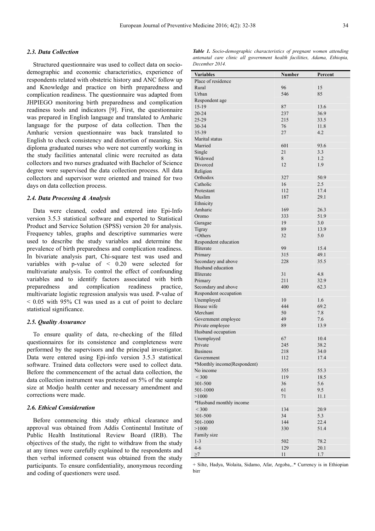#### *2.3. Data Collection*

Structured questionnaire was used to collect data on sociodemographic and economic characteristics, experience of respondents related with obstetric history and ANC follow up and Knowledge and practice on birth preparedness and complication readiness. The questionnaire was adapted from JHPIEGO monitoring birth preparedness and complication readiness tools and indicators [9]. First, the questionnaire was prepared in English language and translated to Amharic language for the purpose of data collection. Then the Amharic version questionnaire was back translated to English to check consistency and distortion of meaning. Six diploma graduated nurses who were not currently working in the study facilities antenatal clinic were recruited as data collectors and two nurses graduated with Bachelor of Science degree were supervised the data collection process. All data collectors and supervisor were oriented and trained for two days on data collection process.

#### *2.4. Data Processing & Analysis*

Data were cleaned, coded and entered into Epi-Info version 3.5.3 statistical software and exported to Statistical Product and Service Solution (SPSS) version 20 for analysis. Frequency tables, graphs and descriptive summaries were used to describe the study variables and determine the prevalence of birth preparedness and complication readiness. In bivariate analysis part, Chi-square test was used and variables with p-value of < 0.20 were selected for multivariate analysis. To control the effect of confounding variables and to identify factors associated with birth preparedness and complication readiness practice, multivariate logistic regression analysis was used. P-value of < 0.05 with 95% CI was used as a cut of point to declare statistical significance.

#### *2.5. Quality Assurance*

To ensure quality of data, re-checking of the filled questionnaires for its consistence and completeness were performed by the supervisors and the principal investigator. Data were entered using Epi-info version 3.5.3 statistical software. Trained data collectors were used to collect data. Before the commencement of the actual data collection, the data collection instrument was pretested on 5% of the sample size at Modjo health center and necessary amendment and corrections were made.

#### *2.6. Ethical Consideration*

Before commencing this study ethical clearance and approval was obtained from Addis Continental Institute of Public Health Institutional Review Board (IRB). The objectives of the study, the right to withdraw from the study at any times were carefully explained to the respondents and then verbal informed consent was obtained from the study participants. To ensure confidentiality, anonymous recording and coding of questioners were used.

| <b>Table 1.</b> Socio-demographic characteristics of pregnant women attending |  |
|-------------------------------------------------------------------------------|--|
| antenatal care clinic all government health facilities, Adama, Ethiopia,      |  |
| December 2014.                                                                |  |

| <b>Variables</b>            | <b>Number</b> | Percent      |
|-----------------------------|---------------|--------------|
| Place of residence          |               |              |
| Rural                       | 96            | 15           |
| Urban                       | 546           | 85           |
| Respondent age              |               |              |
| $15-19$                     | 87            | 13.6         |
| 20-24                       | 237           | 36.9         |
| 25-29                       | 215           | 33.5         |
| 30-34                       | 76            | 11.8         |
| 35-39                       | 27            | 4.2          |
| Marital status              |               |              |
| Married                     | 601           | 93.6         |
| Single                      | 21            | 3.3          |
| Widowed                     | 8             | 1.2          |
| Divorced                    | 12            | 1.9          |
| Religion                    |               |              |
| Orthodox                    | 327           | 50.9         |
| Catholic                    | 16            | 2.5          |
| Protestant                  | 112           | 17.4         |
| Muslim                      | 187           | 29.1         |
| Ethnicity                   |               |              |
| Amharic                     | 169           | 26.3         |
| Oromo                       | 333           | 51.9         |
| Guragae                     | 19            | 3.0          |
| Tigray                      | 89            | 13.9         |
| $+Otherwise$                | 32            | 5.0          |
| Respondent education        | 99            |              |
| Illiterate<br>Primary       | 315           | 15.4<br>49.1 |
| Secondary and above         | 228           | 35.5         |
| Husband education           |               |              |
| Illiterate                  | 31            | 4.8          |
| Primary                     | 211           | 32.9         |
| Secondary and above         | 400           | 62.3         |
| Respondent occupation       |               |              |
| Unemployed                  | 10            | 1.6          |
| House wife                  | 444           | 69.2         |
| Merchant                    | 50            | 7.8          |
| Government employee         | 49            | 7.6          |
| Private employee            | 89            | 13.9         |
| Husband occupation          |               |              |
| Unemployed                  | 67            | 10.4         |
| Private                     | 245           | 38.2         |
| <b>Business</b>             | 218           | 34.0         |
| Government                  | 112           | 17.4         |
| *Monthly income(Respondent) |               |              |
| No income                   | 355           | 55.3         |
| $<$ 300                     | 119           | 18.5         |
| 301-500                     | 36            | 5.6          |
| 501-1000                    | 61            | 9.5          |
| >1000                       | 71            | 11.1         |
| *Husband monthly income     |               |              |
| $<$ 300                     | 134           | 20.9         |
| 301-500                     | 34            | 5.3          |
| 501-1000                    | 144           | 22.4         |
| >1000                       | 330           | 51.4         |
| Family size                 |               |              |
| $1 - 3$                     | 502           | 78.2         |
| $4 - 6$                     | 129           | 20.1         |
| $\geq 7$                    | 11            | $1.7\,$      |

+ Silte, Hadya, Wolaita, Sidamo, Afar, Argoba,..\* Currency is in Ethiopian birr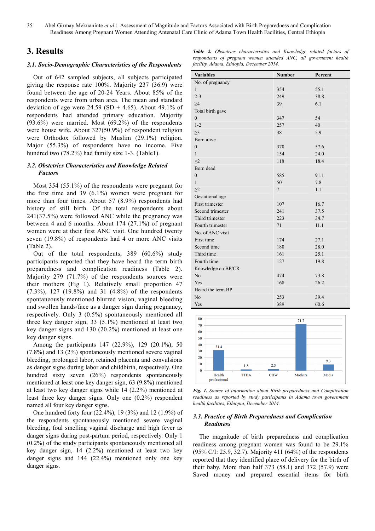35 Abel Girmay Mekuaninte *et al.*: Assessment of Magnitude and Factors Associated with Birth Preparedness and Complication Readiness Among Pregnant Women Attending Antenatal Care Clinic of Adama Town Health Facilities, Central Ethiopia

### **3. Results**

#### *3.1. Socio-Demographic Characteristics of the Respondents*

Out of 642 sampled subjects, all subjects participated giving the response rate 100%. Majority 237 (36.9) were found between the age of 20-24 Years. About 85% of the respondents were from urban area. The mean and standard deviation of age were 24.59 (SD  $\pm$  4.65). About 49.1% of respondents had attended primary education. Majority (93.6%) were married. Most (69.2%) of the respondents were house wife. About 327(50.9%) of respondent religion were Orthodox followed by Muslim (29.1%) religion. Major (55.3%) of respondents have no income. Five hundred two (78.2%) had family size 1-3. (Table1).

#### *3.2. Obstetrics Characteristics and Knowledge Related Factors*

Most 354 (55.1%) of the respondents were pregnant for the first time and 39 (6.1%) women were pregnant for more than four times. About 57 (8.9%) respondents had history of still birth. Of the total respondents about 241(37.5%) were followed ANC while the pregnancy was between 4 and 6 months. About 174 (27.1%) of pregnant women were at their first ANC visit. One hundred twenty seven (19.8%) of respondents had 4 or more ANC visits (Table 2).

Out of the total respondents, 389 (60.6%) study participants reported that they have heard the term birth preparedness and complication readiness (Table 2). Majority 279 (71.7%) of the respondents sources were their mothers (Fig 1). Relatively small proportion 47 (7.3%), 127 (19.8%) and 31 (4.8%) of the respondents spontaneously mentioned blurred vision, vaginal bleeding and swollen hands/face as a danger sign during pregnancy, respectively. Only 3 (0.5%) spontaneously mentioned all three key danger sign, 33 (5.1%) mentioned at least two key danger signs and 130 (20.2%) mentioned at least one key danger signs.

Among the participants 147 (22.9%), 129 (20.1%), 50 (7.8%) and 13 (2%) spontaneously mentioned severe vaginal bleeding, prolonged labor, retained placenta and convulsions as danger signs during labor and childbirth, respectively. One hundred sixty seven (26%) respondents spontaneously mentioned at least one key danger sign, 63 (9.8%) mentioned at least two key danger signs while 14 (2.2%) mentioned at least three key danger signs. Only one (0.2%) respondent named all four key danger signs.

One hundred forty four (22.4%), 19 (3%) and 12 (1.9%) of the respondents spontaneously mentioned severe vaginal bleeding, foul smelling vaginal discharge and high fever as danger signs during post-partum period, respectively. Only 1 (0.2%) of the study participants spontaneously mentioned all key danger sign, 14 (2.2%) mentioned at least two key danger signs and 144 (22.4%) mentioned only one key danger signs.

|  | <b>Table 2.</b> Obstetrics characteristics and Knowledge related factors of |  |  |  |
|--|-----------------------------------------------------------------------------|--|--|--|
|  | respondents of pregnant women attended ANC, all government health           |  |  |  |
|  | facility, Adama, Ethiopia, December 2014.                                   |  |  |  |

| <b>Variables</b>   | Number         | Percent |
|--------------------|----------------|---------|
| No. of pregnancy   |                |         |
| 1                  | 354            | 55.1    |
| $2 - 3$            | 249            | 38.8    |
| $\geq 4$           | 39             | 6.1     |
| Total birth gave   |                |         |
| $\boldsymbol{0}$   | 347            | 54      |
| $1 - 2$            | 257            | 40      |
| $\geq$ 3           | 38             | 5.9     |
| Born alive         |                |         |
| $\boldsymbol{0}$   | 370            | 57.6    |
| $\mathbf{1}$       | 154            | 24.0    |
| >2                 | 118            | 18.4    |
| Born dead          |                |         |
| $\boldsymbol{0}$   | 585            | 91.1    |
| $\mathbf{1}$       | 50             | 7.8     |
| >2                 | $\overline{7}$ | 1.1     |
| Gestational age    |                |         |
| First trimester    | 107            | 16.7    |
| Second trimester   | 241            | 37.5    |
| Third trimester    | 223            | 34.7    |
| Fourth trimester   | 71             | 11.1    |
| No. of ANC visit   |                |         |
| First time         | 174            | 27.1    |
| Second time        | 180            | 28.0    |
| Third time         | 161            | 25.1    |
| Fourth time        | 127            | 19.8    |
| Knowledge on BP/CR |                |         |
| No                 | 474            | 73.8    |
| Yes                | 168            | 26.2    |
| Heard the term BP  |                |         |
| No                 | 253            | 39.4    |
| Yes                | 389            | 60.6    |



*Fig. 1. Source of information about Birth preparedness and Complication readiness as reported by study participants in Adama town government health facilities, Ethiopia, December 2014.* 

#### *3.3. Practice of Birth Preparedness and Complication Readiness*

The magnitude of birth preparedness and complication readiness among pregnant women was found to be 29.1% (95% C/I: 25.9, 32.7). Majority 411 (64%) of the respondents reported that they identified place of delivery for the birth of their baby. More than half 373 (58.1) and 372 (57.9) were Saved money and prepared essential items for birth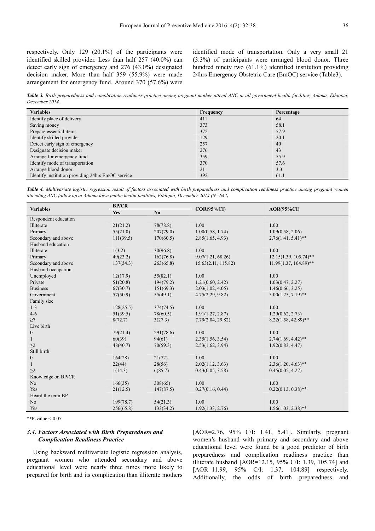respectively. Only 129 (20.1%) of the participants were identified skilled provider. Less than half 257 (40.0%) can detect early sign of emergency and 276 (43.0%) designated decision maker. More than half 359 (55.9%) were made arrangement for emergency fund. Around 370 (57.6%) were identified mode of transportation. Only a very small 21 (3.3%) of participants were arranged blood donor. Three hundred ninety two (61.1%) identified institution providing 24hrs Emergency Obstetric Care (EmOC) service (Table3).

*Table 3. Birth preparedness and complication readiness practice among pregnant mother attend ANC in all government health facilities, Adama, Ethiopia, December 2014.*

| <b>Variables</b>                                  | Frequency | Percentage |  |
|---------------------------------------------------|-----------|------------|--|
| Identify place of delivery                        | 411       | 64         |  |
| Saving money                                      | 373       | 58.1       |  |
| Prepare essential items                           | 372       | 57.9       |  |
| Identify skilled provider                         | 129       | 20.1       |  |
| Detect early sign of emergency                    | 257       | 40         |  |
| Designate decision maker                          | 276       | 43         |  |
| Arrange for emergency fund                        | 359       | 55.9       |  |
| Identify mode of transportation                   | 370       | 57.6       |  |
| Arrange blood donor                               | 21        | 3.3        |  |
| Identify institution providing 24hrs EmOC service | 392       | 61.1       |  |

Table 4. Multivariate logistic regression result of factors associated with birth preparedness and complication readiness practice among pregnant women *attending ANC follow up at Adama town public health facilities, Ethiopia, December 2014 (N=642).* 

|                      | <b>BP/CR</b>          |           |                     |                          |  |  |
|----------------------|-----------------------|-----------|---------------------|--------------------------|--|--|
| <b>Variables</b>     | N <sub>0</sub><br>Yes |           | $COR(95\%CI)$       | $AOR(95\%CI)$            |  |  |
| Respondent education |                       |           |                     |                          |  |  |
| Illiterate           | 21(21.2)              | 78(78.8)  | 1.00                | 1.00                     |  |  |
| Primary              | 55(21.0)              | 207(79.0) | 1.00(0.58, 1.74)    | 1.09(0.58, 2.06)         |  |  |
| Secondary and above  | 111(39.5)             | 170(60.5) | 2.85(1.65, 4.93)    | $2.76(1.41, 5.41)^{**}$  |  |  |
| Husband education    |                       |           |                     |                          |  |  |
| Illiterate           | 1(3.2)                | 30(96.8)  | 1.00                | 1.00                     |  |  |
| Primary              | 49(23.2)              | 162(76.8) | 9.07(1.21, 68.26)   | 12.15(1.39, 105.74)**    |  |  |
| Secondary and above  | 137(34.3)             | 263(65.8) | 15.63(2.11, 115.82) | $11.99(1.37, 104.89)$ ** |  |  |
| Husband occupation   |                       |           |                     |                          |  |  |
| Unemployed           | 12(17.9)              | 55(82.1)  | 1.00                | 1.00                     |  |  |
| Private              | 51(20.8)              | 194(79.2) | 1.21(0.60, 2.42)    | 1.03(0.47, 2.27)         |  |  |
| <b>Business</b>      | 67(30.7)              | 151(69.3) | 2.03(1.02, 4.05)    | 1.46(0.66, 3.25)         |  |  |
| Government           | 57(50.9)              | 55(49.1)  | 4.75(2.29, 9.82)    | $3.00(1.25, 7.19)$ **    |  |  |
| Family size          |                       |           |                     |                          |  |  |
| $1 - 3$              | 128(25.5)             | 374(74.5) | 1.00                | 1.00                     |  |  |
| $4 - 6$              | 51(39.5)              | 78(60.5)  | 1.91(1.27, 2.87)    | 1.29(0.62, 2.73)         |  |  |
| $\geq 7$             | 8(72.7)               | 3(27.3)   | 7.79(2.04, 29.82)   | $8.22(1.58, 42.89)$ **   |  |  |
| Live birth           |                       |           |                     |                          |  |  |
| $\mathbf{0}$         | 79(21.4)              | 291(78.6) | 1.00                | 1.00                     |  |  |
| $\mathbf{1}$         | 60(39)                | 94(61)    | 2.35(1.56, 3.54)    | $2.74(1.69, 4.42)$ **    |  |  |
| $\geq$ 2             | 48(40.7)              | 70(59.3)  | 2.53(1.62, 3.94)    | 1.92(0.83, 4.47)         |  |  |
| Still birth          |                       |           |                     |                          |  |  |
| $\mathbf{0}$         | 164(28)               | 21(72)    | 1.00                | 1.00                     |  |  |
| $\mathbf{1}$         | 22(44)                | 28(56)    | 2.02(1.12, 3.63)    | $2.36(1.20, 4.63)$ **    |  |  |
| $\geq$ 2             | 1(14.3)               | 6(85.7)   | 0.43(0.05, 3.58)    | 0.45(0.05, 4.27)         |  |  |
| Knowledge on BP/CR   |                       |           |                     |                          |  |  |
| N <sub>0</sub>       | 166(35)               | 308(65)   | 1.00                | 1.00                     |  |  |
| Yes                  | 21(12.5)              | 147(87.5) | 0.27(0.16, 0.44)    | $0.22(0.13, 0.38)$ **    |  |  |
| Heard the term BP    |                       |           |                     |                          |  |  |
| No                   | 199(78.7)             | 54(21.3)  | 1.00                | 1.00                     |  |  |
| Yes                  | 256(65.8)             | 133(34.2) | 1.92(1.33, 2.76)    | $1.56(1.03, 2.38)$ **    |  |  |

\*\*P-value < 0.05

#### *3.4. Factors Associated with Birth Preparedness and Complication Readiness Practice*

Using backward multivariate logistic regression analysis, pregnant women who attended secondary and above educational level were nearly three times more likely to prepared for birth and its complication than illiterate mothers [AOR=2.76, 95% C/I: 1.41, 5.41]. Similarly, pregnant women's husband with primary and secondary and above educational level were found be a good predictor of birth preparedness and complication readiness practice than illiterate husband [AOR=12.15, 95% C/I: 1.39, 105.74] and [AOR=11.99, 95% C/I: 1.37, 104.89] respectively. Additionally, the odds of birth preparedness and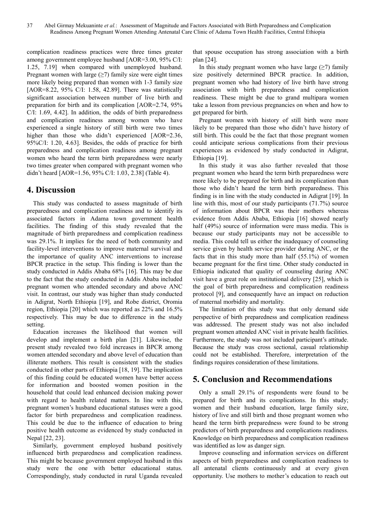complication readiness practices were three times greater among government employee husband [AOR=3.00, 95% C/I: 1.25, 7.19] when compared with unemployed husband. Pregnant women with large  $(\geq 7)$  family size were eight times more likely being prepared than women with 1-3 family size [AOR=8.22, 95% C/I: 1.58, 42.89]. There was statistically significant association between number of live birth and preparation for birth and its complication [AOR=2.74, 95% C/I: 1.69, 4.42]. In addition, the odds of birth preparedness and complication readiness among women who have experienced a single history of still birth were two times higher than those who didn't experienced [AOR=2.36, 95%C/I: 1.20, 4.63]. Besides, the odds of practice for birth preparedness and complication readiness among pregnant women who heard the term birth preparedness were nearly two times greater when compared with pregnant women who didn't heard [AOR=1.56, 95% C/I: 1.03, 2.38] (Table 4).

# **4. Discussion**

This study was conducted to assess magnitude of birth preparedness and complication readiness and to identify its associated factors in Adama town government health facilities. The finding of this study revealed that the magnitude of birth preparedness and complication readiness was 29.1%. It implies for the need of both community and facility-level interventions to improve maternal survival and the importance of quality ANC interventions to increase BPCR practice in the setup. This finding is lower than the study conducted in Addis Ababa 68% [16]. This may be due to the fact that the study conducted in Addis Ababa included pregnant women who attended secondary and above ANC visit. In contrast, our study was higher than study conducted in Adigrat, North Ethiopia [19], and Robe district, Oromia region, Ethiopia [20] which was reported as 22% and 16.5% respectively. This may be due to difference in the study setting.

Education increases the likelihood that women will develop and implement a birth plan [21]. Likewise, the present study revealed two fold increases in BPCR among women attended secondary and above level of education than illiterate mothers. This result is consistent with the studies conducted in other parts of Ethiopia [18, 19]. The implication of this finding could be educated women have better access for information and boosted women position in the household that could lead enhanced decision making power with regard to health related matters. In line with this, pregnant women's husband educational statuses were a good factor for birth preparedness and complication readiness. This could be due to the influence of education to bring positive health outcome as evidenced by study conducted in Nepal [22, 23].

Similarly, government employed husband positively influenced birth preparedness and complication readiness. This might be because government employed husband in this study were the one with better educational status. Correspondingly, study conducted in rural Uganda revealed that spouse occupation has strong association with a birth plan [24].

In this study pregnant women who have large  $($ >7) family size positively determined BPCR practice. In addition, pregnant women who had history of live birth have strong association with birth preparedness and complication readiness. These might be due to grand multipara women take a lesson from previous pregnancies on when and how to get prepared for birth.

Pregnant women with history of still birth were more likely to be prepared than those who didn't have history of still birth. This could be the fact that those pregnant women could anticipate serious complications from their previous experiences as evidenced by study conducted in Adigrat, Ethiopia [19].

In this study it was also further revealed that those pregnant women who heard the term birth preparedness were more likely to be prepared for birth and its complication than those who didn't heard the term birth preparedness. This finding is in line with the study conducted in Adigrat [19]. In line with this, most of our study participants (71.7%) source of information about BPCR was their mothers whereas evidence from Addis Ababa, Ethiopia [16] showed nearly half (49%) source of information were mass media. This is because our study participants may not be accessible to media. This could tell us either the inadequacy of counseling service given by health service provider during ANC, or the facts that in this study more than half (55.1%) of women became pregnant for the first time. Other study conducted in Ethiopia indicated that quality of counseling during ANC visit have a great role on institutional delivery [25], which is the goal of birth preparedness and complication readiness protocol [9], and consequently have an impact on reduction of maternal morbidity and mortality.

The limitation of this study was that only demand side perspective of birth preparedness and complication readiness was addressed. The present study was not also included pregnant women attended ANC visit in private health facilities. Furthermore, the study was not included participant's attitude. Because the study was cross sectional, casual relationship could not be established. Therefore, interpretation of the findings requires consideration of these limitations.

# **5. Conclusion and Recommendations**

Only a small 29.1% of respondents were found to be prepared for birth and its complications. In this study; women and their husband education, large family size, history of live and still birth and those pregnant women who heard the term birth preparedness were found to be strong predictors of birth preparedness and complications readiness. Knowledge on birth preparedness and complication readiness was identified as low as danger sign.

Improve counseling and information services on different aspects of birth preparedness and complication readiness to all antenatal clients continuously and at every given opportunity. Use mothers to mother's education to reach out